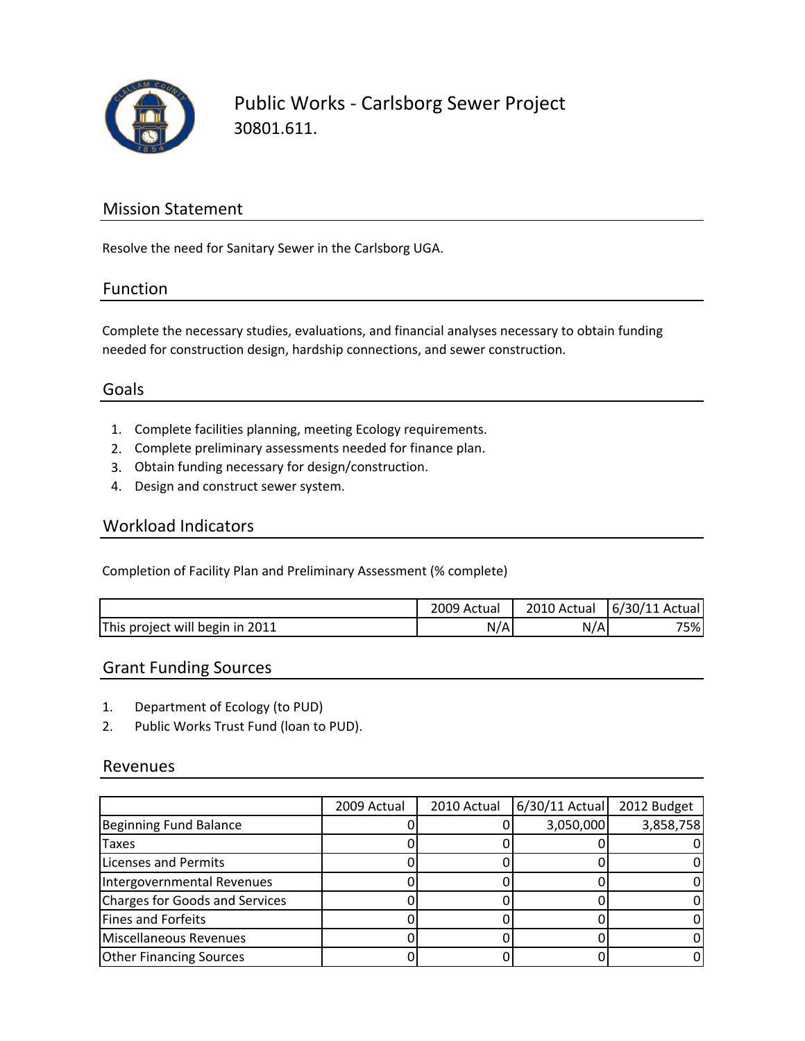

### Mission Statement

Resolve the need for Sanitary Sewer in the Carlsborg UGA.

#### Function

Complete the necessary studies, evaluations, and financial analyses necessary to obtain funding needed for construction design, hardship connections, and sewer construction.

### Goals

- 1. Complete facilities planning, meeting Ecology requirements.
- 2. Complete preliminary assessments needed for finance plan.
- 3. Obtain funding necessary for design/construction.
- 4. Design and construct sewer system.

#### Workload Indicators

Completion of Facility Plan and Preliminary Assessment (% complete)

|                                 | 2009 Actual | 2010 Actual | 6/30/11 Actual |
|---------------------------------|-------------|-------------|----------------|
| This project will begin in 2011 | N/A         | N/A         | 75%            |

### Grant Funding Sources

- 1. Department of Ecology (to PUD)
- 2. Public Works Trust Fund (loan to PUD).

#### Revenues

|                                | 2009 Actual | 2010 Actual | $6/30/11$ Actual | 2012 Budget |
|--------------------------------|-------------|-------------|------------------|-------------|
| Beginning Fund Balance         |             |             | 3,050,000        | 3,858,758   |
| <b>Taxes</b>                   |             |             |                  |             |
| Licenses and Permits           |             |             |                  |             |
| Intergovernmental Revenues     |             |             |                  |             |
| Charges for Goods and Services |             |             |                  |             |
| Fines and Forfeits             |             |             |                  |             |
| Miscellaneous Revenues         |             |             |                  |             |
| <b>Other Financing Sources</b> |             |             |                  |             |